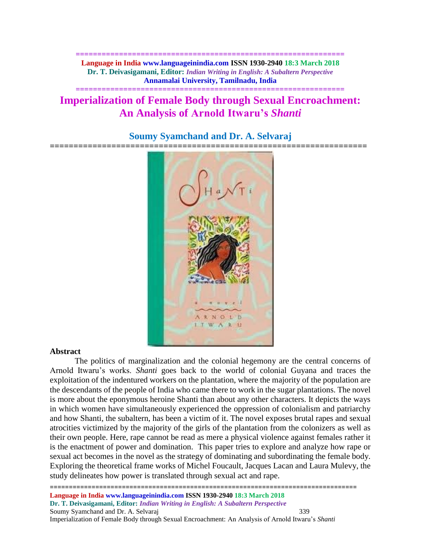**============================================================== Language in India www.languageinindia.com ISSN 1930-2940 18:3 March 2018 Dr. T. Deivasigamani, Editor:** *Indian Writing in English: A Subaltern Perspective* **Annamalai University, Tamilnadu, India**

# **Imperialization of Female Body through Sexual Encroachment: An Analysis of Arnold Itwaru's** *Shanti*

**==============================================================**



# **Soumy Syamchand and Dr. A. Selvaraj**

#### **Abstract**

The politics of marginalization and the colonial hegemony are the central concerns of Arnold Itwaru's works. *Shanti* goes back to the world of colonial Guyana and traces the exploitation of the indentured workers on the plantation, where the majority of the population are the descendants of the people of India who came there to work in the sugar plantations. The novel is more about the eponymous heroine Shanti than about any other characters. It depicts the ways in which women have simultaneously experienced the oppression of colonialism and patriarchy and how Shanti*,* the subaltern, has been a victim of it. The novel exposes brutal rapes and sexual atrocities victimized by the majority of the girls of the plantation from the colonizers as well as their own people. Here, rape cannot be read as mere a physical violence against females rather it is the enactment of power and domination. This paper tries to explore and analyze how rape or sexual act becomes in the novel as the strategy of dominating and subordinating the female body. Exploring the theoretical frame works of Michel Foucault, Jacques Lacan and Laura Mulevy, the study delineates how power is translated through sexual act and rape.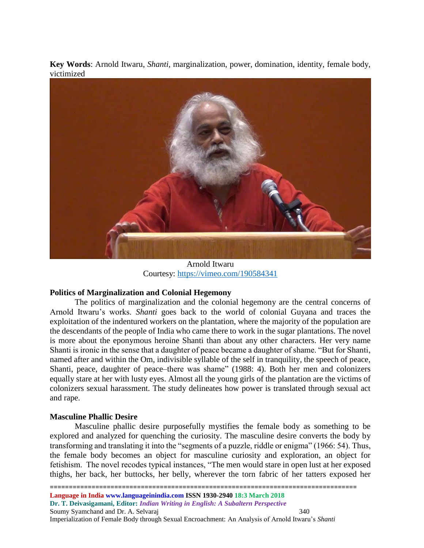**Key Words**: Arnold Itwaru, *Shanti,* marginalization, power, domination, identity, female body, victimized



Arnold Itwaru Courtesy:<https://vimeo.com/190584341>

# **Politics of Marginalization and Colonial Hegemony**

The politics of marginalization and the colonial hegemony are the central concerns of Arnold Itwaru's works. *Shanti* goes back to the world of colonial Guyana and traces the exploitation of the indentured workers on the plantation, where the majority of the population are the descendants of the people of India who came there to work in the sugar plantations. The novel is more about the eponymous heroine Shanti than about any other characters. Her very name Shanti is ironic in the sense that a daughter of peace became a daughter of shame. "But for Shanti, named after and within the Om, indivisible syllable of the self in tranquility, the speech of peace, Shanti, peace, daughter of peace–there was shame" (1988: 4). Both her men and colonizers equally stare at her with lusty eyes. Almost all the young girls of the plantation are the victims of colonizers sexual harassment. The study delineates how power is translated through sexual act and rape.

# **Masculine Phallic Desire**

Masculine phallic desire purposefully mystifies the female body as something to be explored and analyzed for quenching the curiosity. The masculine desire converts the body by transforming and translating it into the "segments of a puzzle, riddle or enigma" (1966: 54). Thus, the female body becomes an object for masculine curiosity and exploration, an object for fetishism. The novel recodes typical instances, "The men would stare in open lust at her exposed thighs, her back, her buttocks, her belly, wherever the torn fabric of her tatters exposed her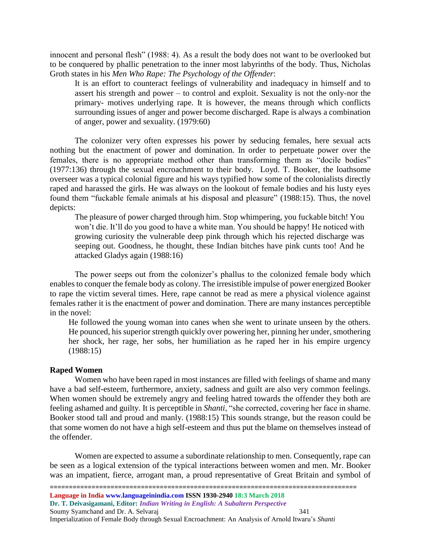innocent and personal flesh" (1988: 4). As a result the body does not want to be overlooked but to be conquered by phallic penetration to the inner most labyrinths of the body. Thus, Nicholas Groth states in his *Men Who Rape: The Psychology of the Offender*:

It is an effort to counteract feelings of vulnerability and inadequacy in himself and to assert his strength and power – to control and exploit. Sexuality is not the only-nor the primary- motives underlying rape. It is however, the means through which conflicts surrounding issues of anger and power become discharged. Rape is always a combination of anger, power and sexuality. (1979:60)

The colonizer very often expresses his power by seducing females, here sexual acts nothing but the enactment of power and domination. In order to perpetuate power over the females, there is no appropriate method other than transforming them as "docile bodies" (1977:136) through the sexual encroachment to their body. Loyd. T. Booker, the loathsome overseer was a typical colonial figure and his ways typified how some of the colonialists directly raped and harassed the girls. He was always on the lookout of female bodies and his lusty eyes found them "fuckable female animals at his disposal and pleasure" (1988:15). Thus, the novel depicts:

The pleasure of power charged through him. Stop whimpering, you fuckable bitch! You won't die. It'll do you good to have a white man. You should be happy! He noticed with growing curiosity the vulnerable deep pink through which his rejected discharge was seeping out. Goodness, he thought, these Indian bitches have pink cunts too! And he attacked Gladys again (1988:16)

The power seeps out from the colonizer's phallus to the colonized female body which enables to conquer the female body as colony. The irresistible impulse of power energized Booker to rape the victim several times. Here, rape cannot be read as mere a physical violence against females rather it is the enactment of power and domination. There are many instances perceptible in the novel:

He followed the young woman into canes when she went to urinate unseen by the others. He pounced, his superior strength quickly over powering her, pinning her under, smothering her shock, her rage, her sobs, her humiliation as he raped her in his empire urgency (1988:15)

#### **Raped Women**

Women who have been raped in most instances are filled with feelings of shame and many have a bad self-esteem, furthermore, anxiety, sadness and guilt are also very common feelings. When women should be extremely angry and feeling hatred towards the offender they both are feeling ashamed and guilty. It is perceptible in *Shanti*, "she corrected, covering her face in shame. Booker stood tall and proud and manly. (1988:15) This sounds strange, but the reason could be that some women do not have a high self-esteem and thus put the blame on themselves instead of the offender.

Women are expected to assume a subordinate relationship to men. Consequently, rape can be seen as a logical extension of the typical interactions between women and men. Mr. Booker was an impatient, fierce, arrogant man, a proud representative of Great Britain and symbol of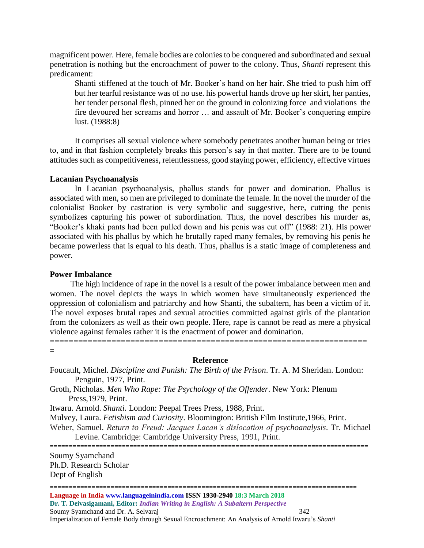magnificent power. Here, female bodies are colonies to be conquered and subordinated and sexual penetration is nothing but the encroachment of power to the colony. Thus, *Shanti* represent this predicament:

Shanti stiffened at the touch of Mr. Booker's hand on her hair. She tried to push him off but her tearful resistance was of no use. his powerful hands drove up her skirt, her panties, her tender personal flesh, pinned her on the ground in colonizing force and violations the fire devoured her screams and horror … and assault of Mr. Booker's conquering empire lust. (1988:8)

It comprises all sexual violence where somebody penetrates another human being or tries to, and in that fashion completely breaks this person's say in that matter. There are to be found attitudes such as competitiveness, relentlessness, good staying power, efficiency, effective virtues

#### **Lacanian Psychoanalysis**

In Lacanian psychoanalysis, phallus stands for power and domination. Phallus is associated with men, so men are privileged to dominate the female. In the novel the murder of the colonialist Booker by castration is very symbolic and suggestive, here, cutting the penis symbolizes capturing his power of subordination. Thus, the novel describes his murder as, "Booker's khaki pants had been pulled down and his penis was cut off" (1988: 21). His power associated with his phallus by which he brutally raped many females, by removing his penis he became powerless that is equal to his death. Thus, phallus is a static image of completeness and power.

### **Power Imbalance**

 The high incidence of rape in the novel is a result of the power imbalance between men and women. The novel depicts the ways in which women have simultaneously experienced the oppression of colonialism and patriarchy and how Shanti*,* the subaltern, has been a victim of it. The novel exposes brutal rapes and sexual atrocities committed against girls of the plantation from the colonizers as well as their own people. Here, rape is cannot be read as mere a physical violence against females rather it is the enactment of power and domination. **===================================================================**

**=**

#### **Reference**

Foucault, Michel. *Discipline and Punish: The Birth of the Prison*. Tr. A. M Sheridan. London: Penguin, 1977, Print.

Groth, Nicholas. *Men Who Rape: The Psychology of the Offender*. New York: Plenum Press,1979, Print.

Itwaru. Arnold. *Shanti*. London: Peepal Trees Press, 1988, Print.

Mulvey, Laura. *Fetishism and Curiosity*. Bloomington: British Film Institute,1966, Print.

Weber, Samuel. *Return to Freud: Jacques Lacan's dislocation of psychoanalysis*. Tr. Michael Levine. Cambridge: Cambridge University Press, 1991, Print.

====================================================================================

Soumy Syamchand

Ph.D. Research Scholar Dept of English

=================================================================================

**Language in India www.languageinindia.com ISSN 1930-2940 18:3 March 2018** 

**Dr. T. Deivasigamani, Editor:** *Indian Writing in English: A Subaltern Perspective* Soumy Syamchand and Dr. A. Selvaraj 342 Imperialization of Female Body through Sexual Encroachment: An Analysis of Arnold Itwaru's *Shanti*